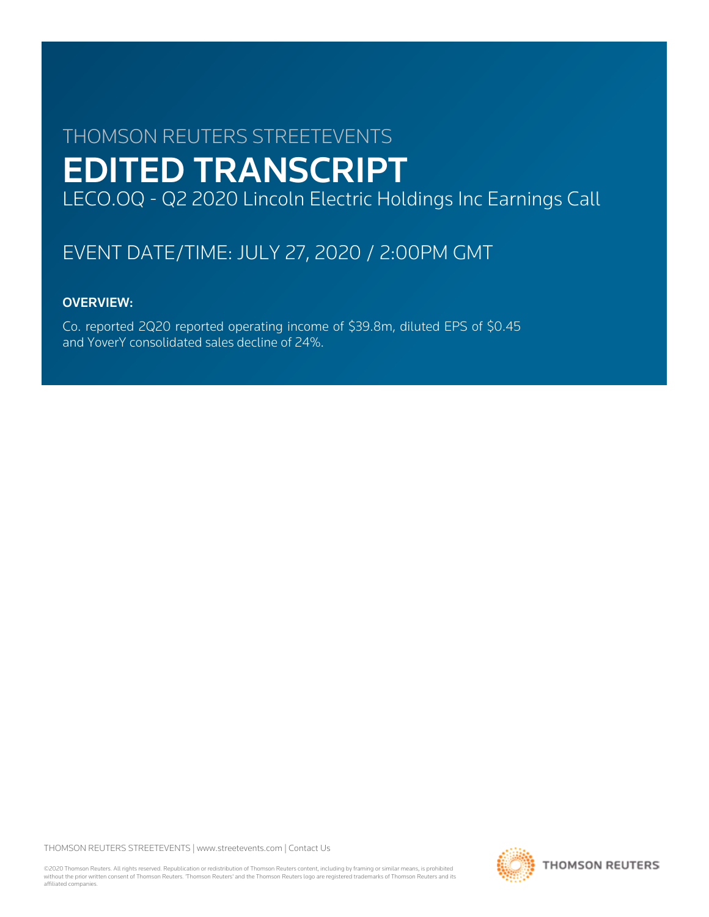# THOMSON REUTERS STREETEVENTS EDITED TRANSCRIPT LECO.OQ - Q2 2020 Lincoln Electric Holdings Inc Earnings Call

# EVENT DATE/TIME: JULY 27, 2020 / 2:00PM GMT

# OVERVIEW:

Co. reported 2Q20 reported operating income of \$39.8m, diluted EPS of \$0.45 and YoverY consolidated sales decline of 24%.

THOMSON REUTERS STREETEVENTS | [www.streetevents.com](http://www.streetevents.com) | [Contact Us](http://www010.streetevents.com/contact.asp)

©2020 Thomson Reuters. All rights reserved. Republication or redistribution of Thomson Reuters content, including by framing or similar means, is prohibited without the prior written consent of Thomson Reuters. 'Thomson Reuters' and the Thomson Reuters logo are registered trademarks of Thomson Reuters and its affiliated companies.

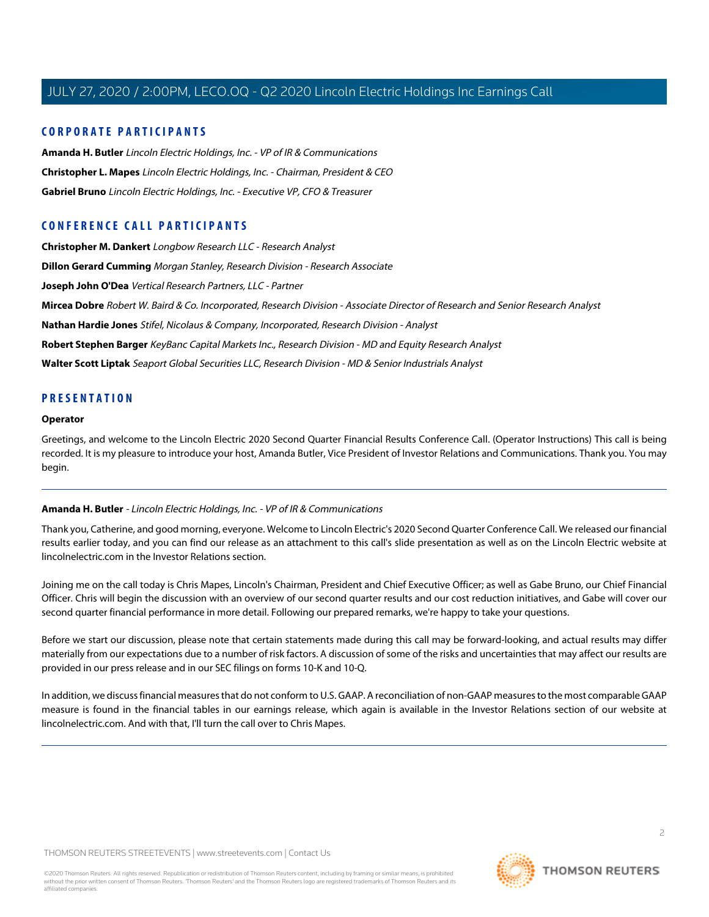#### **CORPORATE PARTICIPANTS**

**[Amanda H. Butler](#page-1-0)** Lincoln Electric Holdings, Inc. - VP of IR & Communications **[Christopher L. Mapes](#page-2-0)** Lincoln Electric Holdings, Inc. - Chairman, President & CEO **[Gabriel Bruno](#page-3-0)** Lincoln Electric Holdings, Inc. - Executive VP, CFO & Treasurer

### **CONFERENCE CALL PARTICIPANTS**

**[Christopher M. Dankert](#page-10-0)** Longbow Research LLC - Research Analyst **[Dillon Gerard Cumming](#page-10-1)** Morgan Stanley, Research Division - Research Associate **[Joseph John O'Dea](#page-4-0)** Vertical Research Partners, LLC - Partner **[Mircea Dobre](#page-7-0)** Robert W. Baird & Co. Incorporated, Research Division - Associate Director of Research and Senior Research Analyst **[Nathan Hardie Jones](#page-6-0)** Stifel, Nicolaus & Company, Incorporated, Research Division - Analyst **[Robert Stephen Barger](#page-11-0)** KeyBanc Capital Markets Inc., Research Division - MD and Equity Research Analyst **[Walter Scott Liptak](#page-8-0)** Seaport Global Securities LLC, Research Division - MD & Senior Industrials Analyst

#### **PRESENTATION**

#### **Operator**

<span id="page-1-0"></span>Greetings, and welcome to the Lincoln Electric 2020 Second Quarter Financial Results Conference Call. (Operator Instructions) This call is being recorded. It is my pleasure to introduce your host, Amanda Butler, Vice President of Investor Relations and Communications. Thank you. You may begin.

#### **Amanda H. Butler** - Lincoln Electric Holdings, Inc. - VP of IR & Communications

Thank you, Catherine, and good morning, everyone. Welcome to Lincoln Electric's 2020 Second Quarter Conference Call. We released our financial results earlier today, and you can find our release as an attachment to this call's slide presentation as well as on the Lincoln Electric website at lincolnelectric.com in the Investor Relations section.

Joining me on the call today is Chris Mapes, Lincoln's Chairman, President and Chief Executive Officer; as well as Gabe Bruno, our Chief Financial Officer. Chris will begin the discussion with an overview of our second quarter results and our cost reduction initiatives, and Gabe will cover our second quarter financial performance in more detail. Following our prepared remarks, we're happy to take your questions.

Before we start our discussion, please note that certain statements made during this call may be forward-looking, and actual results may differ materially from our expectations due to a number of risk factors. A discussion of some of the risks and uncertainties that may affect our results are provided in our press release and in our SEC filings on forms 10-K and 10-Q.

In addition, we discuss financial measures that do not conform to U.S. GAAP. A reconciliation of non-GAAP measures to the most comparable GAAP measure is found in the financial tables in our earnings release, which again is available in the Investor Relations section of our website at lincolnelectric.com. And with that, I'll turn the call over to Chris Mapes.

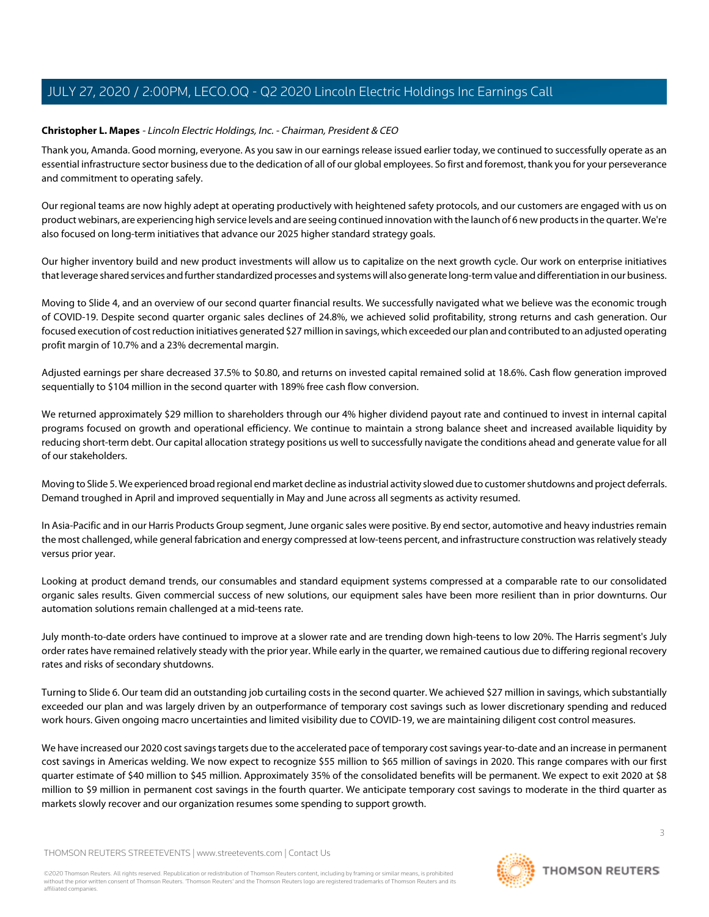#### <span id="page-2-0"></span>**Christopher L. Mapes** - Lincoln Electric Holdings, Inc. - Chairman, President & CEO

Thank you, Amanda. Good morning, everyone. As you saw in our earnings release issued earlier today, we continued to successfully operate as an essential infrastructure sector business due to the dedication of all of our global employees. So first and foremost, thank you for your perseverance and commitment to operating safely.

Our regional teams are now highly adept at operating productively with heightened safety protocols, and our customers are engaged with us on product webinars, are experiencing high service levels and are seeing continued innovation with the launch of 6 new products in the quarter. We're also focused on long-term initiatives that advance our 2025 higher standard strategy goals.

Our higher inventory build and new product investments will allow us to capitalize on the next growth cycle. Our work on enterprise initiatives that leverage shared services and further standardized processes and systems will also generate long-term value and differentiation in our business.

Moving to Slide 4, and an overview of our second quarter financial results. We successfully navigated what we believe was the economic trough of COVID-19. Despite second quarter organic sales declines of 24.8%, we achieved solid profitability, strong returns and cash generation. Our focused execution of cost reduction initiatives generated \$27 million in savings, which exceeded our plan and contributed to an adjusted operating profit margin of 10.7% and a 23% decremental margin.

Adjusted earnings per share decreased 37.5% to \$0.80, and returns on invested capital remained solid at 18.6%. Cash flow generation improved sequentially to \$104 million in the second quarter with 189% free cash flow conversion.

We returned approximately \$29 million to shareholders through our 4% higher dividend payout rate and continued to invest in internal capital programs focused on growth and operational efficiency. We continue to maintain a strong balance sheet and increased available liquidity by reducing short-term debt. Our capital allocation strategy positions us well to successfully navigate the conditions ahead and generate value for all of our stakeholders.

Moving to Slide 5. We experienced broad regional end market decline as industrial activity slowed due to customer shutdowns and project deferrals. Demand troughed in April and improved sequentially in May and June across all segments as activity resumed.

In Asia-Pacific and in our Harris Products Group segment, June organic sales were positive. By end sector, automotive and heavy industries remain the most challenged, while general fabrication and energy compressed at low-teens percent, and infrastructure construction was relatively steady versus prior year.

Looking at product demand trends, our consumables and standard equipment systems compressed at a comparable rate to our consolidated organic sales results. Given commercial success of new solutions, our equipment sales have been more resilient than in prior downturns. Our automation solutions remain challenged at a mid-teens rate.

July month-to-date orders have continued to improve at a slower rate and are trending down high-teens to low 20%. The Harris segment's July order rates have remained relatively steady with the prior year. While early in the quarter, we remained cautious due to differing regional recovery rates and risks of secondary shutdowns.

Turning to Slide 6. Our team did an outstanding job curtailing costs in the second quarter. We achieved \$27 million in savings, which substantially exceeded our plan and was largely driven by an outperformance of temporary cost savings such as lower discretionary spending and reduced work hours. Given ongoing macro uncertainties and limited visibility due to COVID-19, we are maintaining diligent cost control measures.

We have increased our 2020 cost savings targets due to the accelerated pace of temporary cost savings year-to-date and an increase in permanent cost savings in Americas welding. We now expect to recognize \$55 million to \$65 million of savings in 2020. This range compares with our first quarter estimate of \$40 million to \$45 million. Approximately 35% of the consolidated benefits will be permanent. We expect to exit 2020 at \$8 million to \$9 million in permanent cost savings in the fourth quarter. We anticipate temporary cost savings to moderate in the third quarter as markets slowly recover and our organization resumes some spending to support growth.

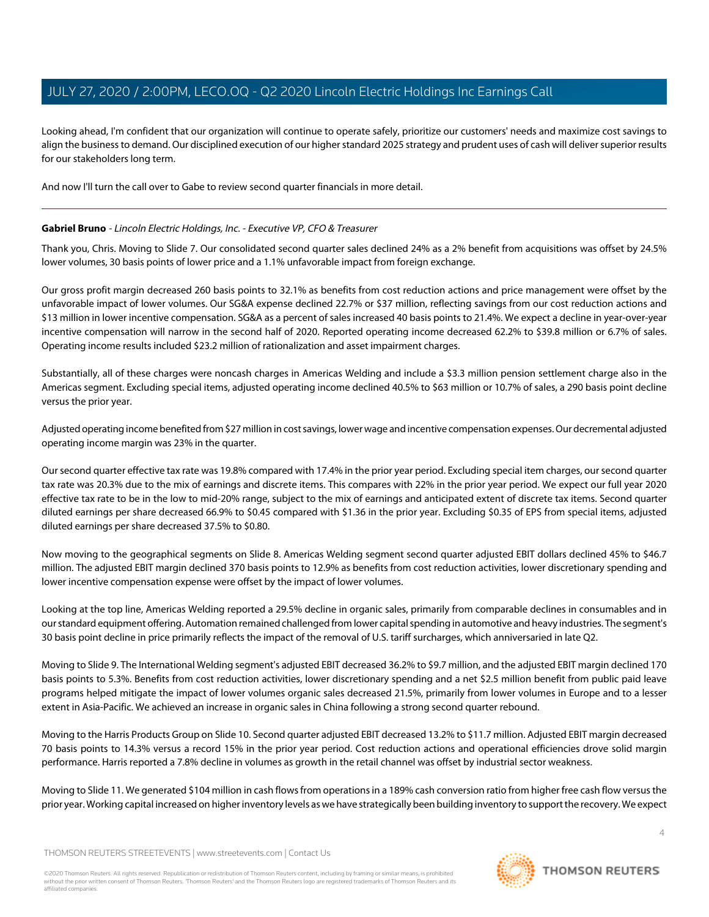Looking ahead, I'm confident that our organization will continue to operate safely, prioritize our customers' needs and maximize cost savings to align the business to demand. Our disciplined execution of our higher standard 2025 strategy and prudent uses of cash will deliver superior results for our stakeholders long term.

<span id="page-3-0"></span>And now I'll turn the call over to Gabe to review second quarter financials in more detail.

#### **Gabriel Bruno** - Lincoln Electric Holdings, Inc. - Executive VP, CFO & Treasurer

Thank you, Chris. Moving to Slide 7. Our consolidated second quarter sales declined 24% as a 2% benefit from acquisitions was offset by 24.5% lower volumes, 30 basis points of lower price and a 1.1% unfavorable impact from foreign exchange.

Our gross profit margin decreased 260 basis points to 32.1% as benefits from cost reduction actions and price management were offset by the unfavorable impact of lower volumes. Our SG&A expense declined 22.7% or \$37 million, reflecting savings from our cost reduction actions and \$13 million in lower incentive compensation. SG&A as a percent of sales increased 40 basis points to 21.4%. We expect a decline in year-over-year incentive compensation will narrow in the second half of 2020. Reported operating income decreased 62.2% to \$39.8 million or 6.7% of sales. Operating income results included \$23.2 million of rationalization and asset impairment charges.

Substantially, all of these charges were noncash charges in Americas Welding and include a \$3.3 million pension settlement charge also in the Americas segment. Excluding special items, adjusted operating income declined 40.5% to \$63 million or 10.7% of sales, a 290 basis point decline versus the prior year.

Adjusted operating income benefited from \$27 million in cost savings, lower wage and incentive compensation expenses. Our decremental adjusted operating income margin was 23% in the quarter.

Our second quarter effective tax rate was 19.8% compared with 17.4% in the prior year period. Excluding special item charges, our second quarter tax rate was 20.3% due to the mix of earnings and discrete items. This compares with 22% in the prior year period. We expect our full year 2020 effective tax rate to be in the low to mid-20% range, subject to the mix of earnings and anticipated extent of discrete tax items. Second quarter diluted earnings per share decreased 66.9% to \$0.45 compared with \$1.36 in the prior year. Excluding \$0.35 of EPS from special items, adjusted diluted earnings per share decreased 37.5% to \$0.80.

Now moving to the geographical segments on Slide 8. Americas Welding segment second quarter adjusted EBIT dollars declined 45% to \$46.7 million. The adjusted EBIT margin declined 370 basis points to 12.9% as benefits from cost reduction activities, lower discretionary spending and lower incentive compensation expense were offset by the impact of lower volumes.

Looking at the top line, Americas Welding reported a 29.5% decline in organic sales, primarily from comparable declines in consumables and in our standard equipment offering. Automation remained challenged from lower capital spending in automotive and heavy industries. The segment's 30 basis point decline in price primarily reflects the impact of the removal of U.S. tariff surcharges, which anniversaried in late Q2.

Moving to Slide 9. The International Welding segment's adjusted EBIT decreased 36.2% to \$9.7 million, and the adjusted EBIT margin declined 170 basis points to 5.3%. Benefits from cost reduction activities, lower discretionary spending and a net \$2.5 million benefit from public paid leave programs helped mitigate the impact of lower volumes organic sales decreased 21.5%, primarily from lower volumes in Europe and to a lesser extent in Asia-Pacific. We achieved an increase in organic sales in China following a strong second quarter rebound.

Moving to the Harris Products Group on Slide 10. Second quarter adjusted EBIT decreased 13.2% to \$11.7 million. Adjusted EBIT margin decreased 70 basis points to 14.3% versus a record 15% in the prior year period. Cost reduction actions and operational efficiencies drove solid margin performance. Harris reported a 7.8% decline in volumes as growth in the retail channel was offset by industrial sector weakness.

Moving to Slide 11. We generated \$104 million in cash flows from operations in a 189% cash conversion ratio from higher free cash flow versus the prior year. Working capital increased on higher inventory levels as we have strategically been building inventory to support the recovery. We expect

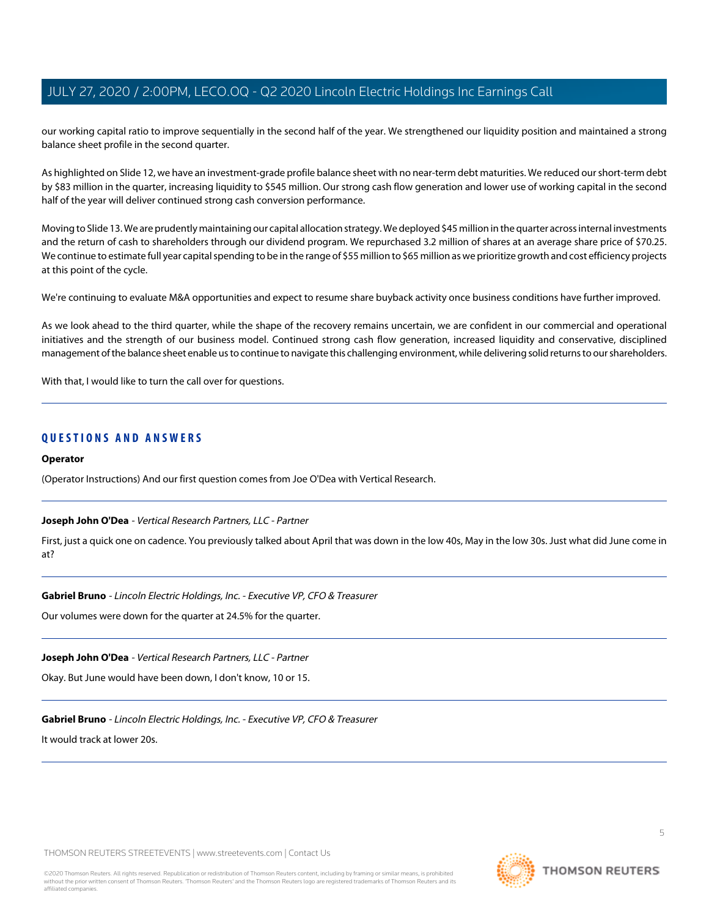our working capital ratio to improve sequentially in the second half of the year. We strengthened our liquidity position and maintained a strong balance sheet profile in the second quarter.

As highlighted on Slide 12, we have an investment-grade profile balance sheet with no near-term debt maturities. We reduced our short-term debt by \$83 million in the quarter, increasing liquidity to \$545 million. Our strong cash flow generation and lower use of working capital in the second half of the year will deliver continued strong cash conversion performance.

Moving to Slide 13. We are prudently maintaining our capital allocation strategy. We deployed \$45 million in the quarter across internal investments and the return of cash to shareholders through our dividend program. We repurchased 3.2 million of shares at an average share price of \$70.25. We continue to estimate full year capital spending to be in the range of \$55 million to \$65 million as we prioritize growth and cost efficiency projects at this point of the cycle.

We're continuing to evaluate M&A opportunities and expect to resume share buyback activity once business conditions have further improved.

As we look ahead to the third quarter, while the shape of the recovery remains uncertain, we are confident in our commercial and operational initiatives and the strength of our business model. Continued strong cash flow generation, increased liquidity and conservative, disciplined management of the balance sheet enable us to continue to navigate this challenging environment, while delivering solid returns to our shareholders.

With that, I would like to turn the call over for questions.

#### **QUESTIONS AND ANSWERS**

#### **Operator**

<span id="page-4-0"></span>(Operator Instructions) And our first question comes from Joe O'Dea with Vertical Research.

#### **Joseph John O'Dea** - Vertical Research Partners, LLC - Partner

First, just a quick one on cadence. You previously talked about April that was down in the low 40s, May in the low 30s. Just what did June come in at?

#### **Gabriel Bruno** - Lincoln Electric Holdings, Inc. - Executive VP, CFO & Treasurer

Our volumes were down for the quarter at 24.5% for the quarter.

#### **Joseph John O'Dea** - Vertical Research Partners, LLC - Partner

Okay. But June would have been down, I don't know, 10 or 15.

#### **Gabriel Bruno** - Lincoln Electric Holdings, Inc. - Executive VP, CFO & Treasurer

It would track at lower 20s.

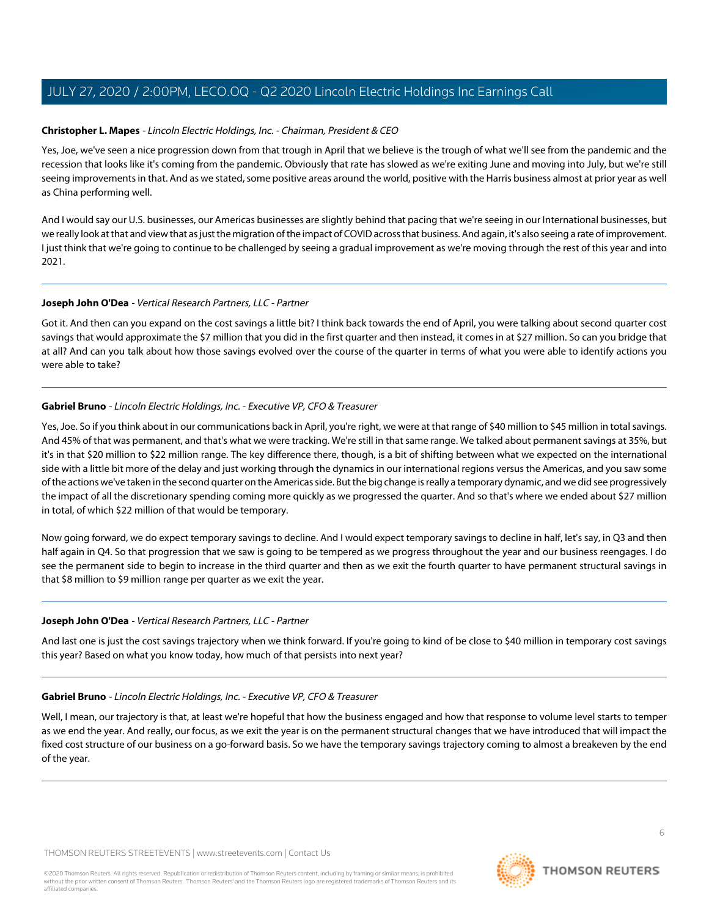#### **Christopher L. Mapes** - Lincoln Electric Holdings, Inc. - Chairman, President & CEO

Yes, Joe, we've seen a nice progression down from that trough in April that we believe is the trough of what we'll see from the pandemic and the recession that looks like it's coming from the pandemic. Obviously that rate has slowed as we're exiting June and moving into July, but we're still seeing improvements in that. And as we stated, some positive areas around the world, positive with the Harris business almost at prior year as well as China performing well.

And I would say our U.S. businesses, our Americas businesses are slightly behind that pacing that we're seeing in our International businesses, but we really look at that and view that as just the migration of the impact of COVID across that business. And again, it's also seeing a rate of improvement. I just think that we're going to continue to be challenged by seeing a gradual improvement as we're moving through the rest of this year and into 2021.

#### **Joseph John O'Dea** - Vertical Research Partners, LLC - Partner

Got it. And then can you expand on the cost savings a little bit? I think back towards the end of April, you were talking about second quarter cost savings that would approximate the \$7 million that you did in the first quarter and then instead, it comes in at \$27 million. So can you bridge that at all? And can you talk about how those savings evolved over the course of the quarter in terms of what you were able to identify actions you were able to take?

#### **Gabriel Bruno** - Lincoln Electric Holdings, Inc. - Executive VP, CFO & Treasurer

Yes, Joe. So if you think about in our communications back in April, you're right, we were at that range of \$40 million to \$45 million in total savings. And 45% of that was permanent, and that's what we were tracking. We're still in that same range. We talked about permanent savings at 35%, but it's in that \$20 million to \$22 million range. The key difference there, though, is a bit of shifting between what we expected on the international side with a little bit more of the delay and just working through the dynamics in our international regions versus the Americas, and you saw some of the actions we've taken in the second quarter on the Americas side. But the big change is really a temporary dynamic, and we did see progressively the impact of all the discretionary spending coming more quickly as we progressed the quarter. And so that's where we ended about \$27 million in total, of which \$22 million of that would be temporary.

Now going forward, we do expect temporary savings to decline. And I would expect temporary savings to decline in half, let's say, in Q3 and then half again in Q4. So that progression that we saw is going to be tempered as we progress throughout the year and our business reengages. I do see the permanent side to begin to increase in the third quarter and then as we exit the fourth quarter to have permanent structural savings in that \$8 million to \$9 million range per quarter as we exit the year.

#### **Joseph John O'Dea** - Vertical Research Partners, LLC - Partner

And last one is just the cost savings trajectory when we think forward. If you're going to kind of be close to \$40 million in temporary cost savings this year? Based on what you know today, how much of that persists into next year?

#### **Gabriel Bruno** - Lincoln Electric Holdings, Inc. - Executive VP, CFO & Treasurer

Well, I mean, our trajectory is that, at least we're hopeful that how the business engaged and how that response to volume level starts to temper as we end the year. And really, our focus, as we exit the year is on the permanent structural changes that we have introduced that will impact the fixed cost structure of our business on a go-forward basis. So we have the temporary savings trajectory coming to almost a breakeven by the end of the year.

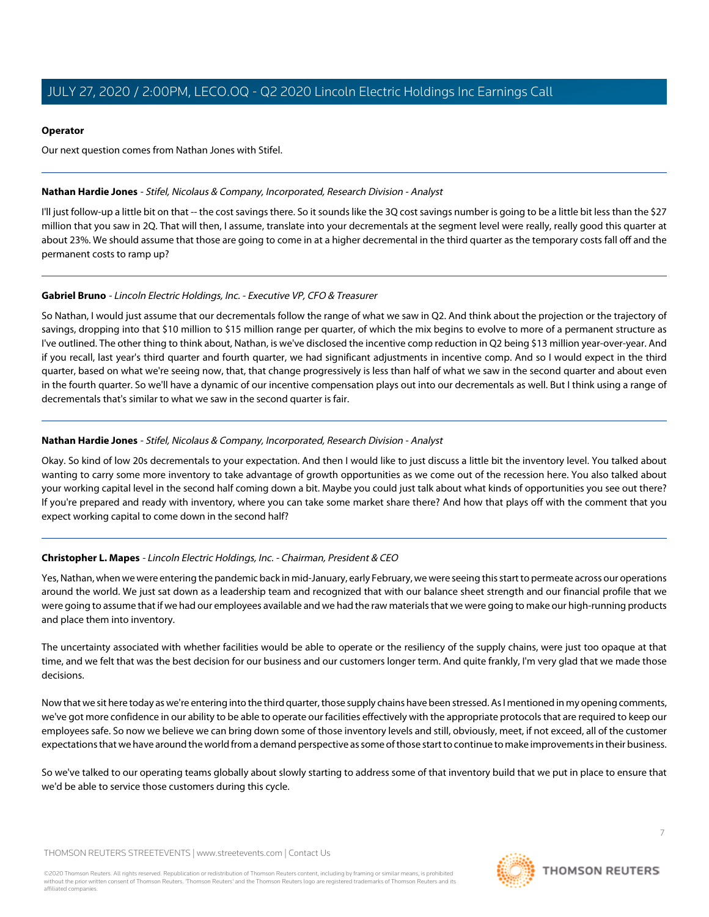#### **Operator**

Our next question comes from Nathan Jones with Stifel.

#### <span id="page-6-0"></span>**Nathan Hardie Jones** - Stifel, Nicolaus & Company, Incorporated, Research Division - Analyst

I'll just follow-up a little bit on that -- the cost savings there. So it sounds like the 3Q cost savings number is going to be a little bit less than the \$27 million that you saw in 2Q. That will then, I assume, translate into your decrementals at the segment level were really, really good this quarter at about 23%. We should assume that those are going to come in at a higher decremental in the third quarter as the temporary costs fall off and the permanent costs to ramp up?

#### **Gabriel Bruno** - Lincoln Electric Holdings, Inc. - Executive VP, CFO & Treasurer

So Nathan, I would just assume that our decrementals follow the range of what we saw in Q2. And think about the projection or the trajectory of savings, dropping into that \$10 million to \$15 million range per quarter, of which the mix begins to evolve to more of a permanent structure as I've outlined. The other thing to think about, Nathan, is we've disclosed the incentive comp reduction in Q2 being \$13 million year-over-year. And if you recall, last year's third quarter and fourth quarter, we had significant adjustments in incentive comp. And so I would expect in the third quarter, based on what we're seeing now, that, that change progressively is less than half of what we saw in the second quarter and about even in the fourth quarter. So we'll have a dynamic of our incentive compensation plays out into our decrementals as well. But I think using a range of decrementals that's similar to what we saw in the second quarter is fair.

#### **Nathan Hardie Jones** - Stifel, Nicolaus & Company, Incorporated, Research Division - Analyst

Okay. So kind of low 20s decrementals to your expectation. And then I would like to just discuss a little bit the inventory level. You talked about wanting to carry some more inventory to take advantage of growth opportunities as we come out of the recession here. You also talked about your working capital level in the second half coming down a bit. Maybe you could just talk about what kinds of opportunities you see out there? If you're prepared and ready with inventory, where you can take some market share there? And how that plays off with the comment that you expect working capital to come down in the second half?

#### **Christopher L. Mapes** - Lincoln Electric Holdings, Inc. - Chairman, President & CEO

Yes, Nathan, when we were entering the pandemic back in mid-January, early February, we were seeing this start to permeate across our operations around the world. We just sat down as a leadership team and recognized that with our balance sheet strength and our financial profile that we were going to assume that if we had our employees available and we had the raw materials that we were going to make our high-running products and place them into inventory.

The uncertainty associated with whether facilities would be able to operate or the resiliency of the supply chains, were just too opaque at that time, and we felt that was the best decision for our business and our customers longer term. And quite frankly, I'm very glad that we made those decisions.

Now that we sit here today as we're entering into the third quarter, those supply chains have been stressed. As I mentioned in my opening comments, we've got more confidence in our ability to be able to operate our facilities effectively with the appropriate protocols that are required to keep our employees safe. So now we believe we can bring down some of those inventory levels and still, obviously, meet, if not exceed, all of the customer expectations that we have around the world from a demand perspective as some of those start to continue to make improvements in their business.

So we've talked to our operating teams globally about slowly starting to address some of that inventory build that we put in place to ensure that we'd be able to service those customers during this cycle.

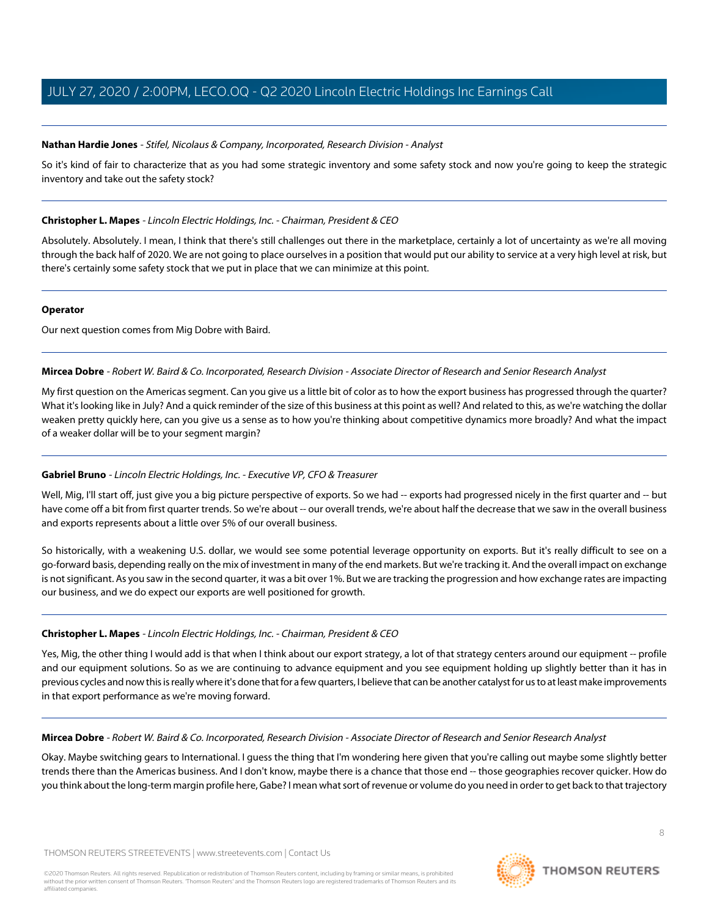#### **Nathan Hardie Jones** - Stifel, Nicolaus & Company, Incorporated, Research Division - Analyst

So it's kind of fair to characterize that as you had some strategic inventory and some safety stock and now you're going to keep the strategic inventory and take out the safety stock?

#### **Christopher L. Mapes** - Lincoln Electric Holdings, Inc. - Chairman, President & CEO

Absolutely. Absolutely. I mean, I think that there's still challenges out there in the marketplace, certainly a lot of uncertainty as we're all moving through the back half of 2020. We are not going to place ourselves in a position that would put our ability to service at a very high level at risk, but there's certainly some safety stock that we put in place that we can minimize at this point.

#### **Operator**

<span id="page-7-0"></span>Our next question comes from Mig Dobre with Baird.

#### **Mircea Dobre** - Robert W. Baird & Co. Incorporated, Research Division - Associate Director of Research and Senior Research Analyst

My first question on the Americas segment. Can you give us a little bit of color as to how the export business has progressed through the quarter? What it's looking like in July? And a quick reminder of the size of this business at this point as well? And related to this, as we're watching the dollar weaken pretty quickly here, can you give us a sense as to how you're thinking about competitive dynamics more broadly? And what the impact of a weaker dollar will be to your segment margin?

#### **Gabriel Bruno** - Lincoln Electric Holdings, Inc. - Executive VP, CFO & Treasurer

Well, Mig, I'll start off, just give you a big picture perspective of exports. So we had -- exports had progressed nicely in the first quarter and -- but have come off a bit from first quarter trends. So we're about -- our overall trends, we're about half the decrease that we saw in the overall business and exports represents about a little over 5% of our overall business.

So historically, with a weakening U.S. dollar, we would see some potential leverage opportunity on exports. But it's really difficult to see on a go-forward basis, depending really on the mix of investment in many of the end markets. But we're tracking it. And the overall impact on exchange is not significant. As you saw in the second quarter, it was a bit over 1%. But we are tracking the progression and how exchange rates are impacting our business, and we do expect our exports are well positioned for growth.

#### **Christopher L. Mapes** - Lincoln Electric Holdings, Inc. - Chairman, President & CEO

Yes, Mig, the other thing I would add is that when I think about our export strategy, a lot of that strategy centers around our equipment -- profile and our equipment solutions. So as we are continuing to advance equipment and you see equipment holding up slightly better than it has in previous cycles and now this is really where it's done that for a few quarters, I believe that can be another catalyst for us to at least make improvements in that export performance as we're moving forward.

#### **Mircea Dobre** - Robert W. Baird & Co. Incorporated, Research Division - Associate Director of Research and Senior Research Analyst

Okay. Maybe switching gears to International. I guess the thing that I'm wondering here given that you're calling out maybe some slightly better trends there than the Americas business. And I don't know, maybe there is a chance that those end -- those geographies recover quicker. How do you think about the long-term margin profile here, Gabe? I mean what sort of revenue or volume do you need in order to get back to that trajectory

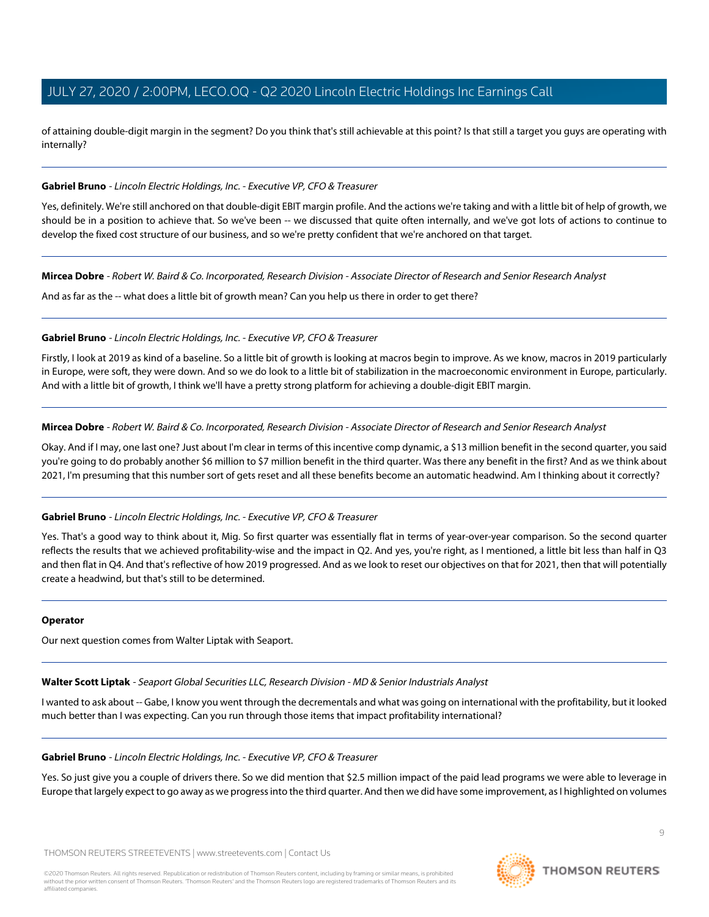of attaining double-digit margin in the segment? Do you think that's still achievable at this point? Is that still a target you guys are operating with internally?

#### **Gabriel Bruno** - Lincoln Electric Holdings, Inc. - Executive VP, CFO & Treasurer

Yes, definitely. We're still anchored on that double-digit EBIT margin profile. And the actions we're taking and with a little bit of help of growth, we should be in a position to achieve that. So we've been -- we discussed that quite often internally, and we've got lots of actions to continue to develop the fixed cost structure of our business, and so we're pretty confident that we're anchored on that target.

**Mircea Dobre** - Robert W. Baird & Co. Incorporated, Research Division - Associate Director of Research and Senior Research Analyst

And as far as the -- what does a little bit of growth mean? Can you help us there in order to get there?

#### **Gabriel Bruno** - Lincoln Electric Holdings, Inc. - Executive VP, CFO & Treasurer

Firstly, I look at 2019 as kind of a baseline. So a little bit of growth is looking at macros begin to improve. As we know, macros in 2019 particularly in Europe, were soft, they were down. And so we do look to a little bit of stabilization in the macroeconomic environment in Europe, particularly. And with a little bit of growth, I think we'll have a pretty strong platform for achieving a double-digit EBIT margin.

#### **Mircea Dobre** - Robert W. Baird & Co. Incorporated, Research Division - Associate Director of Research and Senior Research Analyst

Okay. And if I may, one last one? Just about I'm clear in terms of this incentive comp dynamic, a \$13 million benefit in the second quarter, you said you're going to do probably another \$6 million to \$7 million benefit in the third quarter. Was there any benefit in the first? And as we think about 2021, I'm presuming that this number sort of gets reset and all these benefits become an automatic headwind. Am I thinking about it correctly?

#### **Gabriel Bruno** - Lincoln Electric Holdings, Inc. - Executive VP, CFO & Treasurer

Yes. That's a good way to think about it, Mig. So first quarter was essentially flat in terms of year-over-year comparison. So the second quarter reflects the results that we achieved profitability-wise and the impact in Q2. And yes, you're right, as I mentioned, a little bit less than half in Q3 and then flat in Q4. And that's reflective of how 2019 progressed. And as we look to reset our objectives on that for 2021, then that will potentially create a headwind, but that's still to be determined.

#### <span id="page-8-0"></span>**Operator**

Our next question comes from Walter Liptak with Seaport.

**Walter Scott Liptak** - Seaport Global Securities LLC, Research Division - MD & Senior Industrials Analyst

I wanted to ask about -- Gabe, I know you went through the decrementals and what was going on international with the profitability, but it looked much better than I was expecting. Can you run through those items that impact profitability international?

#### **Gabriel Bruno** - Lincoln Electric Holdings, Inc. - Executive VP, CFO & Treasurer

Yes. So just give you a couple of drivers there. So we did mention that \$2.5 million impact of the paid lead programs we were able to leverage in Europe that largely expect to go away as we progress into the third quarter. And then we did have some improvement, as I highlighted on volumes

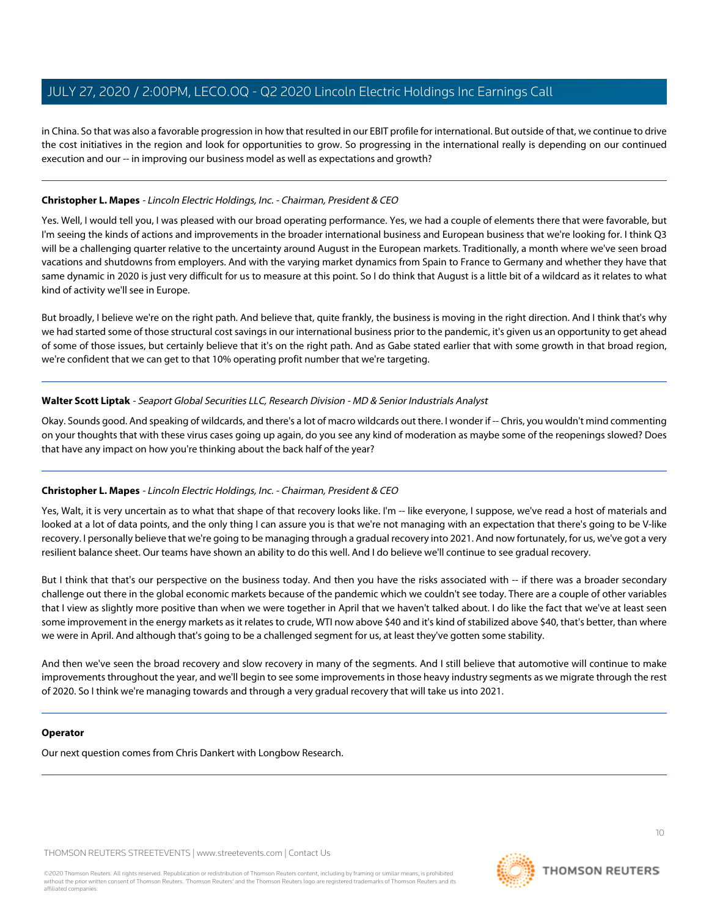in China. So that was also a favorable progression in how that resulted in our EBIT profile for international. But outside of that, we continue to drive the cost initiatives in the region and look for opportunities to grow. So progressing in the international really is depending on our continued execution and our -- in improving our business model as well as expectations and growth?

#### **Christopher L. Mapes** - Lincoln Electric Holdings, Inc. - Chairman, President & CEO

Yes. Well, I would tell you, I was pleased with our broad operating performance. Yes, we had a couple of elements there that were favorable, but I'm seeing the kinds of actions and improvements in the broader international business and European business that we're looking for. I think Q3 will be a challenging quarter relative to the uncertainty around August in the European markets. Traditionally, a month where we've seen broad vacations and shutdowns from employers. And with the varying market dynamics from Spain to France to Germany and whether they have that same dynamic in 2020 is just very difficult for us to measure at this point. So I do think that August is a little bit of a wildcard as it relates to what kind of activity we'll see in Europe.

But broadly, I believe we're on the right path. And believe that, quite frankly, the business is moving in the right direction. And I think that's why we had started some of those structural cost savings in our international business prior to the pandemic, it's given us an opportunity to get ahead of some of those issues, but certainly believe that it's on the right path. And as Gabe stated earlier that with some growth in that broad region, we're confident that we can get to that 10% operating profit number that we're targeting.

#### **Walter Scott Liptak** - Seaport Global Securities LLC, Research Division - MD & Senior Industrials Analyst

Okay. Sounds good. And speaking of wildcards, and there's a lot of macro wildcards out there. I wonder if -- Chris, you wouldn't mind commenting on your thoughts that with these virus cases going up again, do you see any kind of moderation as maybe some of the reopenings slowed? Does that have any impact on how you're thinking about the back half of the year?

#### **Christopher L. Mapes** - Lincoln Electric Holdings, Inc. - Chairman, President & CEO

Yes, Walt, it is very uncertain as to what that shape of that recovery looks like. I'm -- like everyone, I suppose, we've read a host of materials and looked at a lot of data points, and the only thing I can assure you is that we're not managing with an expectation that there's going to be V-like recovery. I personally believe that we're going to be managing through a gradual recovery into 2021. And now fortunately, for us, we've got a very resilient balance sheet. Our teams have shown an ability to do this well. And I do believe we'll continue to see gradual recovery.

But I think that that's our perspective on the business today. And then you have the risks associated with -- if there was a broader secondary challenge out there in the global economic markets because of the pandemic which we couldn't see today. There are a couple of other variables that I view as slightly more positive than when we were together in April that we haven't talked about. I do like the fact that we've at least seen some improvement in the energy markets as it relates to crude, WTI now above \$40 and it's kind of stabilized above \$40, that's better, than where we were in April. And although that's going to be a challenged segment for us, at least they've gotten some stability.

And then we've seen the broad recovery and slow recovery in many of the segments. And I still believe that automotive will continue to make improvements throughout the year, and we'll begin to see some improvements in those heavy industry segments as we migrate through the rest of 2020. So I think we're managing towards and through a very gradual recovery that will take us into 2021.

#### **Operator**

Our next question comes from Chris Dankert with Longbow Research.

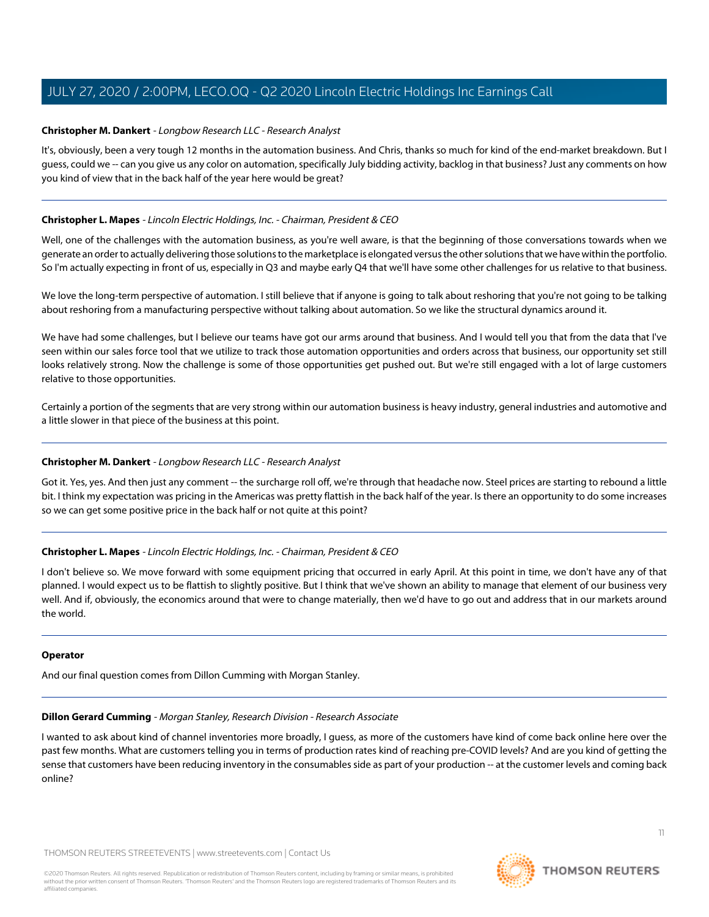#### <span id="page-10-0"></span>**Christopher M. Dankert** - Longbow Research LLC - Research Analyst

It's, obviously, been a very tough 12 months in the automation business. And Chris, thanks so much for kind of the end-market breakdown. But I guess, could we -- can you give us any color on automation, specifically July bidding activity, backlog in that business? Just any comments on how you kind of view that in the back half of the year here would be great?

#### **Christopher L. Mapes** - Lincoln Electric Holdings, Inc. - Chairman, President & CEO

Well, one of the challenges with the automation business, as you're well aware, is that the beginning of those conversations towards when we generate an order to actually delivering those solutions to the marketplace is elongated versus the other solutions that we have within the portfolio. So I'm actually expecting in front of us, especially in Q3 and maybe early Q4 that we'll have some other challenges for us relative to that business.

We love the long-term perspective of automation. I still believe that if anyone is going to talk about reshoring that you're not going to be talking about reshoring from a manufacturing perspective without talking about automation. So we like the structural dynamics around it.

We have had some challenges, but I believe our teams have got our arms around that business. And I would tell you that from the data that I've seen within our sales force tool that we utilize to track those automation opportunities and orders across that business, our opportunity set still looks relatively strong. Now the challenge is some of those opportunities get pushed out. But we're still engaged with a lot of large customers relative to those opportunities.

Certainly a portion of the segments that are very strong within our automation business is heavy industry, general industries and automotive and a little slower in that piece of the business at this point.

#### **Christopher M. Dankert** - Longbow Research LLC - Research Analyst

Got it. Yes, yes. And then just any comment -- the surcharge roll off, we're through that headache now. Steel prices are starting to rebound a little bit. I think my expectation was pricing in the Americas was pretty flattish in the back half of the year. Is there an opportunity to do some increases so we can get some positive price in the back half or not quite at this point?

#### **Christopher L. Mapes** - Lincoln Electric Holdings, Inc. - Chairman, President & CEO

I don't believe so. We move forward with some equipment pricing that occurred in early April. At this point in time, we don't have any of that planned. I would expect us to be flattish to slightly positive. But I think that we've shown an ability to manage that element of our business very well. And if, obviously, the economics around that were to change materially, then we'd have to go out and address that in our markets around the world.

#### <span id="page-10-1"></span>**Operator**

And our final question comes from Dillon Cumming with Morgan Stanley.

#### **Dillon Gerard Cumming** - Morgan Stanley, Research Division - Research Associate

I wanted to ask about kind of channel inventories more broadly, I guess, as more of the customers have kind of come back online here over the past few months. What are customers telling you in terms of production rates kind of reaching pre-COVID levels? And are you kind of getting the sense that customers have been reducing inventory in the consumables side as part of your production -- at the customer levels and coming back online?

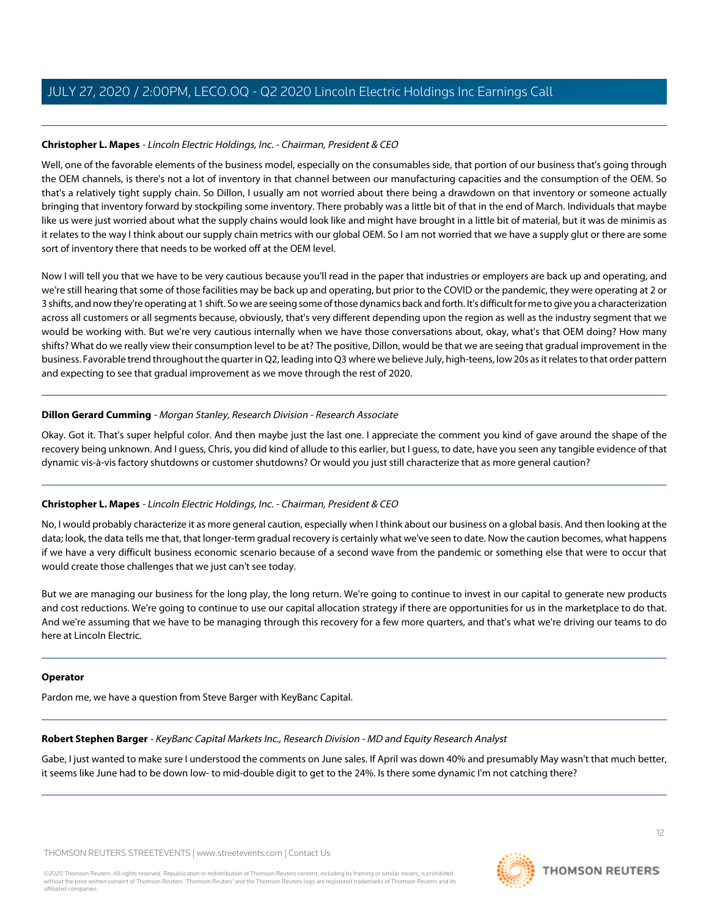#### **Christopher L. Mapes** - Lincoln Electric Holdings, Inc. - Chairman, President & CEO

Well, one of the favorable elements of the business model, especially on the consumables side, that portion of our business that's going through the OEM channels, is there's not a lot of inventory in that channel between our manufacturing capacities and the consumption of the OEM. So that's a relatively tight supply chain. So Dillon, I usually am not worried about there being a drawdown on that inventory or someone actually bringing that inventory forward by stockpiling some inventory. There probably was a little bit of that in the end of March. Individuals that maybe like us were just worried about what the supply chains would look like and might have brought in a little bit of material, but it was de minimis as it relates to the way I think about our supply chain metrics with our global OEM. So I am not worried that we have a supply glut or there are some sort of inventory there that needs to be worked off at the OEM level.

Now I will tell you that we have to be very cautious because you'll read in the paper that industries or employers are back up and operating, and we're still hearing that some of those facilities may be back up and operating, but prior to the COVID or the pandemic, they were operating at 2 or 3 shifts, and now they're operating at 1 shift. So we are seeing some of those dynamics back and forth. It's difficult for me to give you a characterization across all customers or all segments because, obviously, that's very different depending upon the region as well as the industry segment that we would be working with. But we're very cautious internally when we have those conversations about, okay, what's that OEM doing? How many shifts? What do we really view their consumption level to be at? The positive, Dillon, would be that we are seeing that gradual improvement in the business. Favorable trend throughout the quarter in Q2, leading into Q3 where we believe July, high-teens, low 20s as it relates to that order pattern and expecting to see that gradual improvement as we move through the rest of 2020.

#### **Dillon Gerard Cumming** - Morgan Stanley, Research Division - Research Associate

Okay. Got it. That's super helpful color. And then maybe just the last one. I appreciate the comment you kind of gave around the shape of the recovery being unknown. And I guess, Chris, you did kind of allude to this earlier, but I guess, to date, have you seen any tangible evidence of that dynamic vis-à-vis factory shutdowns or customer shutdowns? Or would you just still characterize that as more general caution?

#### **Christopher L. Mapes** - Lincoln Electric Holdings, Inc. - Chairman, President & CEO

No, I would probably characterize it as more general caution, especially when I think about our business on a global basis. And then looking at the data; look, the data tells me that, that longer-term gradual recovery is certainly what we've seen to date. Now the caution becomes, what happens if we have a very difficult business economic scenario because of a second wave from the pandemic or something else that were to occur that would create those challenges that we just can't see today.

But we are managing our business for the long play, the long return. We're going to continue to invest in our capital to generate new products and cost reductions. We're going to continue to use our capital allocation strategy if there are opportunities for us in the marketplace to do that. And we're assuming that we have to be managing through this recovery for a few more quarters, and that's what we're driving our teams to do here at Lincoln Electric.

#### <span id="page-11-0"></span>**Operator**

Pardon me, we have a question from Steve Barger with KeyBanc Capital.

### **Robert Stephen Barger** - KeyBanc Capital Markets Inc., Research Division - MD and Equity Research Analyst

Gabe, I just wanted to make sure I understood the comments on June sales. If April was down 40% and presumably May wasn't that much better, it seems like June had to be down low- to mid-double digit to get to the 24%. Is there some dynamic I'm not catching there?

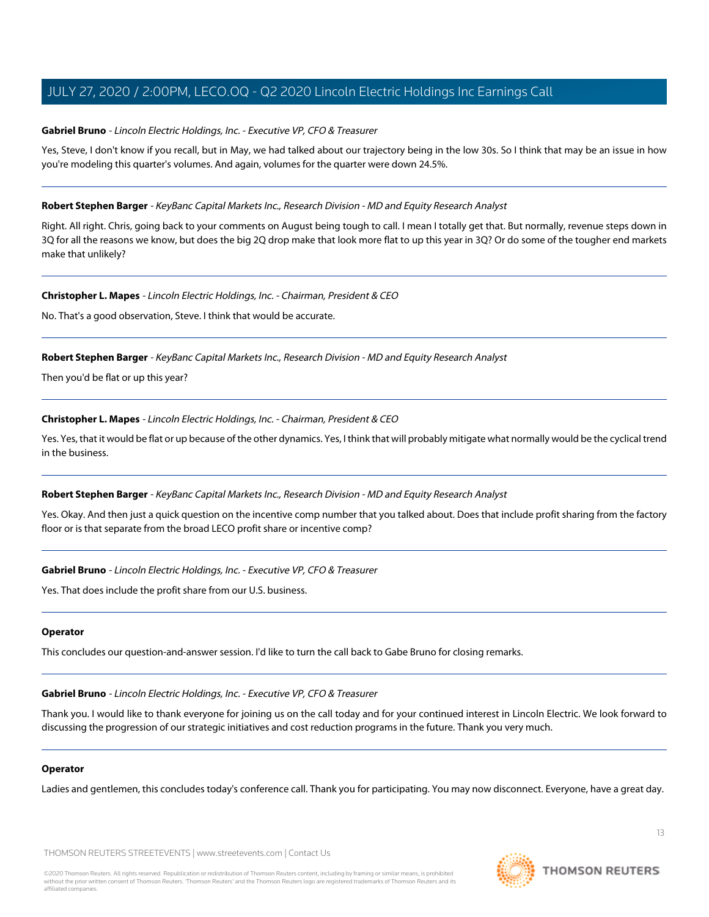#### **Gabriel Bruno** - Lincoln Electric Holdings, Inc. - Executive VP, CFO & Treasurer

Yes, Steve, I don't know if you recall, but in May, we had talked about our trajectory being in the low 30s. So I think that may be an issue in how you're modeling this quarter's volumes. And again, volumes for the quarter were down 24.5%.

#### **Robert Stephen Barger** - KeyBanc Capital Markets Inc., Research Division - MD and Equity Research Analyst

Right. All right. Chris, going back to your comments on August being tough to call. I mean I totally get that. But normally, revenue steps down in 3Q for all the reasons we know, but does the big 2Q drop make that look more flat to up this year in 3Q? Or do some of the tougher end markets make that unlikely?

#### **Christopher L. Mapes** - Lincoln Electric Holdings, Inc. - Chairman, President & CEO

No. That's a good observation, Steve. I think that would be accurate.

#### **Robert Stephen Barger** - KeyBanc Capital Markets Inc., Research Division - MD and Equity Research Analyst

Then you'd be flat or up this year?

#### **Christopher L. Mapes** - Lincoln Electric Holdings, Inc. - Chairman, President & CEO

Yes. Yes, that it would be flat or up because of the other dynamics. Yes, I think that will probably mitigate what normally would be the cyclical trend in the business.

#### **Robert Stephen Barger** - KeyBanc Capital Markets Inc., Research Division - MD and Equity Research Analyst

Yes. Okay. And then just a quick question on the incentive comp number that you talked about. Does that include profit sharing from the factory floor or is that separate from the broad LECO profit share or incentive comp?

#### **Gabriel Bruno** - Lincoln Electric Holdings, Inc. - Executive VP, CFO & Treasurer

Yes. That does include the profit share from our U.S. business.

#### **Operator**

This concludes our question-and-answer session. I'd like to turn the call back to Gabe Bruno for closing remarks.

**Gabriel Bruno** - Lincoln Electric Holdings, Inc. - Executive VP, CFO & Treasurer

Thank you. I would like to thank everyone for joining us on the call today and for your continued interest in Lincoln Electric. We look forward to discussing the progression of our strategic initiatives and cost reduction programs in the future. Thank you very much.

#### **Operator**

Ladies and gentlemen, this concludes today's conference call. Thank you for participating. You may now disconnect. Everyone, have a great day.

THOMSON REUTERS STREETEVENTS | [www.streetevents.com](http://www.streetevents.com) | [Contact Us](http://www010.streetevents.com/contact.asp)



**THOMSON REUTERS**